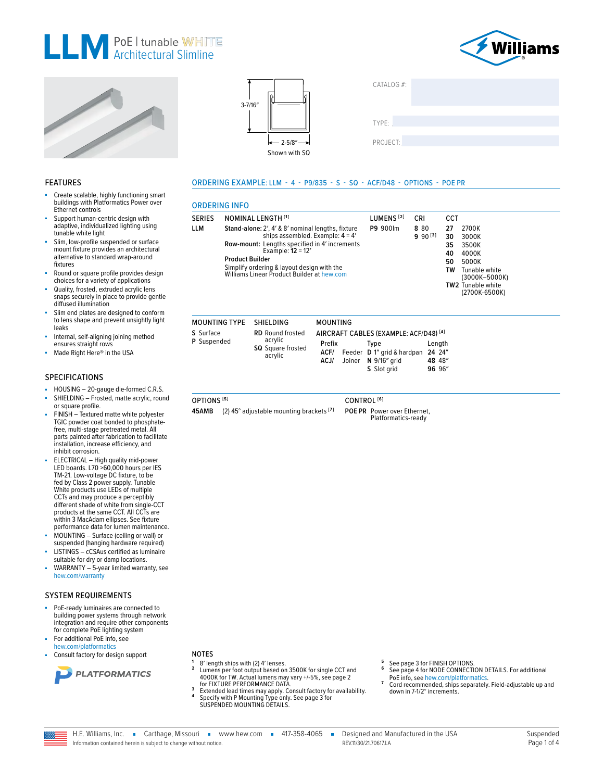







**ORDERING INFO** 

**MOUNTING TYPE** 

S Surface

P Suspended

OPTIONS<sup>[5]</sup>

**NOMINAL LENGTH [1]** 

**Product Builder** 

Stand-alone: 2', 4' & 8' nominal lengths, fixture

Row-mount: Lengths specified in 4' increments<br>Example: 12 = 12'

Simplify ordering & layout design with the<br>Williams Linear Product Builder at hew.com

**SHIELDING** 

RD Round frosted

SQ Square frosted

acrylic

acrylic

45AMB (2) 45° adjustable mounting brackets [7]

ships assembled. Example:  $4 = 4'$ 

SERIES

**LLM** 

ORDERING EXAMPLE: LLM - 4 - P9/835 - S - SQ - ACF/D48 - OPTIONS - POE PR

**MOUNTING** 

Prefix

 $ACJ/$ 

| CATALOG #: |  |  |
|------------|--|--|
| TYPE:      |  |  |
| PROJECT:   |  |  |

**CCT** 

 $27\,$ 

30

35

40

50

TW

Length

24 24"

48 48"

96 96

2700K

3000K

3500K

4000K

5000K

TW2 Tunable white

Tunable white<br>(3000K-5000K)

(2700K-6500K)

### **FEATURES**

- Create scalable, highly functioning smart buildings with Platformatics Power over Ethernet controls
- Support human-centric design with adaptive, individualized lighting using tunable white light
- Slim, low-profile suspended or surface mount fixture provides an architectural alternative to standard wrap-around fixtures
- Round or square profile provides design choices for a variety of applications
- Quality, frosted, extruded acrylic lens snaps securely in place to provide gentle diffused illumination
- Slim end plates are designed to conform to lens shape and prevent unsightly light leaks
- Internal, self-aligning joining method ensures straight rows
- Made Right Here® in the USA

### **SPECIFICATIONS**

- HOUSING 20-gauge die-formed C.R.S. SHIELDING - Frosted, matte acrylic, round or square profile.
- FINISH Textured matte white polvester TGIC powder coat bonded to phosphatefree, multi-stage pretreated metal. All parts painted after fabrication to facilitate installation, increase efficiency, and inhibit corrosion.
- ELECTRICAL High quality mid-power LED boards. L70 >60,000 hours per IES TM-21. Low-voltage DC fixture, to be fed by Class 2 power supply. Tunable<br>White products use LEDs of multiple CCTs and may produce a perceptibly different shade of white from single-CCT products at the same CCT. All CCTs are within 3 MacAdam ellipses. See fixture performance data for lumen maintenance.
- MOUNTING Surface (ceiling or wall) or suspended (hanging hardware required)
- LISTINGS cCSAus certified as luminaire suitable for dry or damp locations.
- WARRANTY 5-year limited warranty, see hew.com/warranty

### **SYSTEM REQUIREMENTS**

- PoE-ready luminaires are connected to building power systems through network integration and require other components for complete PoE lighting system
- For additional PoE info. see hew.com/platformatic
- Consult factory for design support



### **NOTES**

- 8' length ships with (2) 4' lenses. Lumens per foot output based on 3500K for single CCT and 4000K for TW. Actual lumens may vary +/-5%, see page 2
- 4000K for FIXTURE PERFORMANCE DATA.<br>
for FIXTURE PERFORMANCE DATA.<br>
Extended lead times may apply. Consult factory for availability.<br>
Specify with P Mounting Type only. See page 3 for<br>
SUSPENDED MOUNTING DETAILS.  $\overline{\mathbf{z}}$
- 
- See page 3 for FINISH OPTIONS.<br>See page 4 for NODE CONNECTION DETAILS. For additional 6 PoE info, see hew.com/platformatics  $\overline{z}$ 
	- Cord recommended, ships separately. Field-adjustable up and down in 7-1/2° increments.



CONTROL<sup>[6]</sup> POE PR Power over Ethernet,

AIRCRAFT CABLES (EXAMPLE: ACF/D48)<sup>[4]</sup>

S Slot grid

**Type** 

ACF/ Feeder D 1" grid & hardpan

Joiner N 9/16" grid

Platformatics-ready

LUMENS<sup>[2]</sup>

P9 900lm

CRI

8 80

 $9\ 90^{[3]}$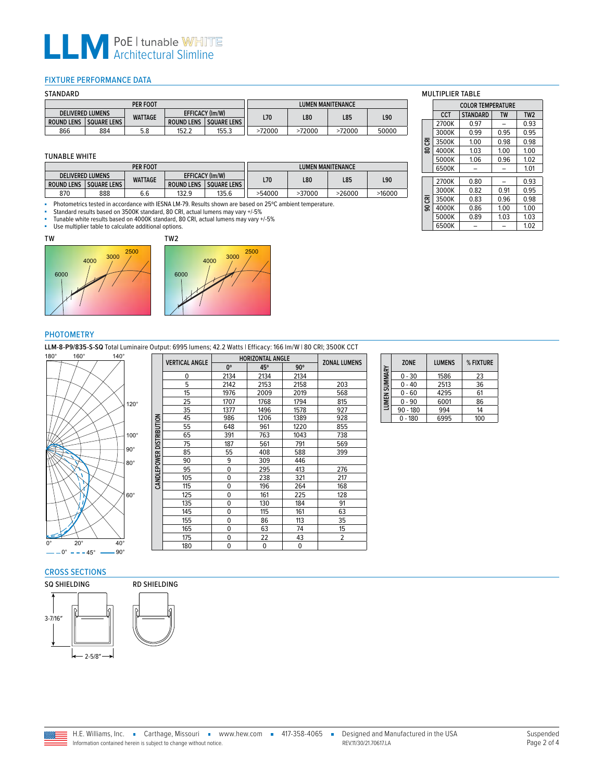## **LLM** PoE | tunable WHIT

### <span id="page-1-0"></span>FIXTURE PERFORMANCE DATA

| STANDARD                                          |                    |                |                   |                          |        |        |        |       |  |  |
|---------------------------------------------------|--------------------|----------------|-------------------|--------------------------|--------|--------|--------|-------|--|--|
| PER FOOT                                          |                    |                |                   | <b>LUMEN MANITENANCE</b> |        |        |        |       |  |  |
| <b>EFFICACY (Im/W)</b><br><b>DELIVERED LUMENS</b> |                    |                | L70               | <b>L80</b>               | L85    | L90    |        |       |  |  |
| <b>ROUND LENS</b>                                 | <b>SOUARE LENS</b> | <b>WATTAGE</b> | <b>ROUND LENS</b> | <b>SOUARE LENS</b>       |        |        |        |       |  |  |
| 866                                               | 884                | 5.8            | 152.2             | 155.3                    | >72000 | >72000 | >72000 | 50000 |  |  |

#### TUNABLE WHITE

| PER FOOT          |                         |                |                                         | <b>LUMEN MANITENANCE</b> |        |        |        |        |
|-------------------|-------------------------|----------------|-----------------------------------------|--------------------------|--------|--------|--------|--------|
|                   | <b>DELIVERED LUMENS</b> |                | EFFICACY (Im/W)                         |                          |        |        | L85    | L90    |
| <b>ROUND LENS</b> | <b>SQUARE LENS</b>      | <b>WATTAGE</b> | <b>ROUND LENS</b><br><b>SOUARE LENS</b> |                          | L70    | L80    |        |        |
| 870               | 888                     | 6.6            | 132.9                                   | 135.6                    | >54000 | >37000 | >26000 | >16000 |

■ Photometrics tested in accordance with IESNA LM-79. Results shown are based on 25ºC ambient temperature.

- Standard results based on 3500K standard, 80 CRI, actual lumens may vary +/-5%<br>- Tunable white results based on 4000K standard, 80 CRI, actual lumens may vary +/-5%

■ Tunable white results based on 4000K standard, 80 CRI, actual lumens may vary +/-5%<br>■ Lise multiplier table to calculate additional options





### PHOTOMETRY

**LLM-8-P9/835-S-SQ** Total Luminaire Output: 6995 lumens; 42.2 Watts | Efficacy: 166 lm/W | 80 CRI; 3500K CCT<br>180° 160° 140° **140° 1160° 1160** HORIZONTAI ANGLE



|                     | <b>VERTICAL ANGLE</b> | <b>HORIZONTAL ANGLE</b> |             |            |                     |
|---------------------|-----------------------|-------------------------|-------------|------------|---------------------|
|                     |                       | $0^{\circ}$             | 45°         | $90^\circ$ | <b>ZONAL LUMENS</b> |
|                     | 0                     | 2134                    | 2134        | 2134       |                     |
|                     | 5                     | 2142                    | 2153        | 2158       | 203                 |
|                     | 15                    | 1976                    | 2009        | 2019       | 568                 |
|                     | 25                    | 1707                    | 1768        | 1794       | 815                 |
|                     | 35                    | 1377                    | 1496        | 1578       | 927                 |
|                     | 45                    | 986                     | 1206        | 1389       | 928                 |
|                     | 55                    | 648                     | 961         | 1220       | 855                 |
| <b>DISTRIBUTION</b> | 65                    | 391                     | 763         | 1043       | 738                 |
|                     | 75                    | 187                     | 561         | 791        | 569                 |
|                     | 85                    | 55                      | 408         | 588        | 399                 |
| <b>CANDLEPOWER</b>  | 90                    | 9                       | 309         | 446        |                     |
|                     | 95                    | $\Omega$                | 295         | 413        | 276                 |
|                     | 105                   | $\Omega$                | 238         | 321        | 217                 |
|                     | 115                   | $\Omega$                | 196         | 264        | 168                 |
|                     | 125                   | 0                       | 161         | 225        | 128                 |
|                     | 135                   | $\Omega$                | 130         | 184        | 91                  |
|                     | 145                   | $\Omega$                | 115         | 161        | 63                  |
|                     | 155                   | $\Omega$                | 86          | 113        | 35                  |
|                     | 165                   | $\Omega$                | 63          | 74         | 15                  |
|                     | 175                   | 0                       | 22          | 43         | 2                   |
|                     | 180                   | $\Omega$                | $\mathbf 0$ | 0          |                     |

#### **ZONE LUMENS % FIXTURE LUMEN SUMMARY** LUMEN SUMMARY 0 - 30 1586 23<br>0 - 40 2513 36 2513 36<br>4295 61 0 - 60 4295 61<br>0 - 90 6001 86  $0 - 90$ 90 - 180 994 14<br>0 - 180 6995 100  $0 - 180$

### CROSS SECTIONS





## MULTIPLIER TABLE

|           | <b>COLOR TEMPERATURE</b> |                 |           |                 |  |  |  |
|-----------|--------------------------|-----------------|-----------|-----------------|--|--|--|
|           | CCT                      | <b>STANDARD</b> | <b>TW</b> | TW <sub>2</sub> |  |  |  |
|           | 2700K                    | 0.97            |           | 0.93            |  |  |  |
|           | 3000K                    | 0.99            | 0.95      | 0.95            |  |  |  |
| 资         | 3500K                    | 1.00            | 0.98      | 0.98            |  |  |  |
| $\bar{8}$ | 4000K                    | 1.03            | 1.00      | 1.00            |  |  |  |
|           | 5000K                    | 1.06            | 0.96      | 1.02            |  |  |  |
|           | 6500K                    |                 |           | 1.01            |  |  |  |
|           |                          |                 |           |                 |  |  |  |
|           | 2700K                    | 0.80            |           | 0.93            |  |  |  |
|           | 3000K                    | 0.82            | 0.91      | 0.95            |  |  |  |
| 资         | 3500K                    | 0.83            | 0.96      | 0.98            |  |  |  |
| ഭ         | 4000K                    | 0.86            | 1.00      | 1.00            |  |  |  |
|           | 5000K                    | 0.89            | 1.03      | 1.03            |  |  |  |
|           | 6500K                    |                 |           | 1.02            |  |  |  |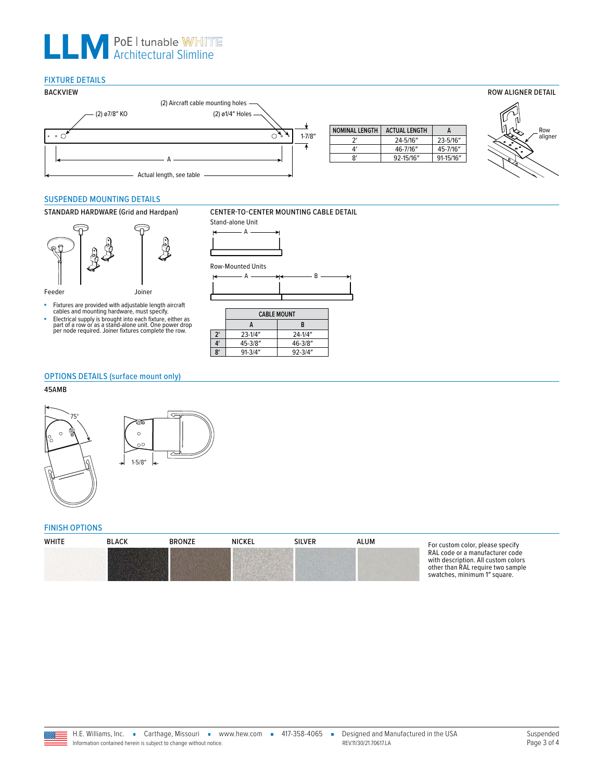# **LLM** PoE | tunable WHIT

### FIXTURE DETAILS



### <span id="page-2-0"></span>SUSPENDED MOUNTING DETAILS



- 
- Fixtures are provided with adjustable length aircraft<br>cables and mounting hardware, must specify.<br>Electrical supply is brought into each fixture, either as<br>part of a row or as a stand-alone unit. One power drop<br>per node re





### OPTIONS DETAILS (surface mount only)

### 45AMB



### <span id="page-2-1"></span>FINISH OPTIONS

| <b>WHITE</b> | <b>BLACK</b> | <b>BRONZE</b> | <b>NICKEL</b> | <b>SILVER</b> | ALUM | For custom color, please specify                                                                                                            |
|--------------|--------------|---------------|---------------|---------------|------|---------------------------------------------------------------------------------------------------------------------------------------------|
|              |              |               |               |               |      | RAL code or a manufacturer code<br>with description. All custom colors<br>other than RAL require two sample<br>swatches, minimum 1" square. |

### STANDARD HARDWARE (Grid and Hardpan) CENTER-TO-CENTER MOUNTING CABLE DETAIL